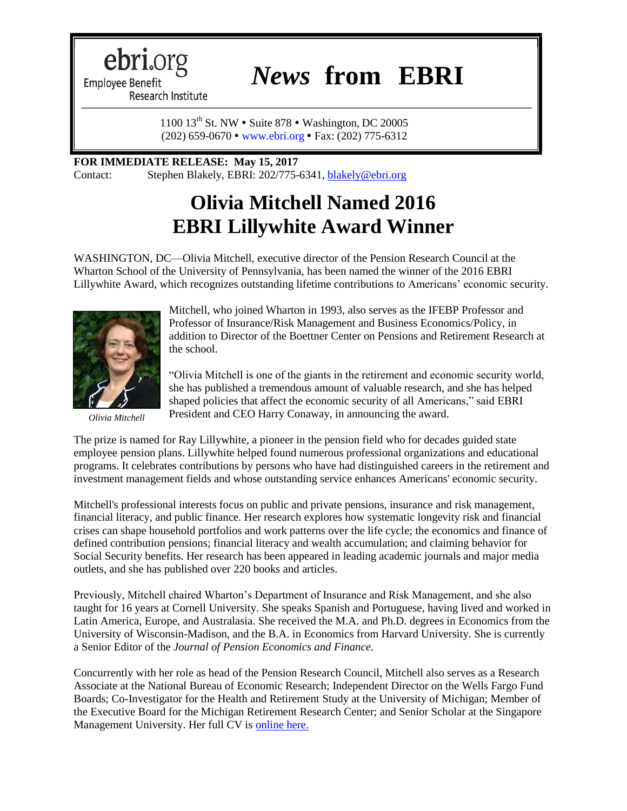ebri.org

*News* **from EBRI**

**Employee Benefit** Research Institute

> 1100 13<sup>th</sup> St. NW • Suite 878 • Washington, DC 20005 (202) 659-0670 [www.ebri.org](http://www.ebri.org/) Fax: (202) 775-6312

## **FOR IMMEDIATE RELEASE: May 15, 2017**

Contact: Stephen Blakely, EBRI: 202/775-6341, [blakely@ebri.org](mailto:blakely@ebri.org)

## **Olivia Mitchell Named 2016 EBRI Lillywhite Award Winner**

WASHINGTON, DC—Olivia Mitchell, executive director of the Pension Research Council at the Wharton School of the University of Pennsylvania, has been named the winner of the 2016 EBRI Lillywhite Award, which recognizes outstanding lifetime contributions to Americans' economic security.



*Olivia Mitchell*

Mitchell, who joined Wharton in 1993, also serves as the IFEBP Professor and Professor of Insurance/Risk Management and Business Economics/Policy, in addition to Director of the Boettner Center on Pensions and Retirement Research at the school.

"Olivia Mitchell is one of the giants in the retirement and economic security world, she has published a tremendous amount of valuable research, and she has helped shaped policies that affect the economic security of all Americans," said EBRI President and CEO Harry Conaway, in announcing the award.

The prize is named for Ray Lillywhite, a pioneer in the pension field who for decades guided state employee pension plans. Lillywhite helped found numerous professional organizations and educational programs. It celebrates contributions by persons who have had distinguished careers in the retirement and investment management fields and whose outstanding service enhances Americans' economic security.

Mitchell's professional interests focus on public and private pensions, insurance and risk management, financial literacy, and public finance. Her research explores how systematic longevity risk and financial crises can shape household portfolios and work patterns over the life cycle; the economics and finance of defined contribution pensions; financial literacy and wealth accumulation; and claiming behavior for Social Security benefits. Her research has been appeared in leading academic journals and major media outlets, and she has published over 220 books and articles.

Previously, Mitchell chaired Wharton's Department of Insurance and Risk Management, and she also taught for 16 years at Cornell University. She speaks Spanish and Portuguese, having lived and worked in Latin America, Europe, and Australasia. She received the M.A. and Ph.D. degrees in Economics from the University of Wisconsin-Madison, and the B.A. in Economics from Harvard University. She is currently a Senior Editor of the *Journal of Pension Economics and Finance.*

Concurrently with her role as head of the Pension Research Council, Mitchell also serves as a Research Associate at the National Bureau of Economic Research; Independent Director on the Wells Fargo Fund Boards; Co-Investigator for the Health and Retirement Study at the University of Michigan; Member of the Executive Board for the Michigan Retirement Research Center; and Senior Scholar at the Singapore Management University. Her full CV is [online here.](https://faculty.wharton.upenn.edu/wp-content/uploads/2016/11/OSMCV12-9-16.pdf)